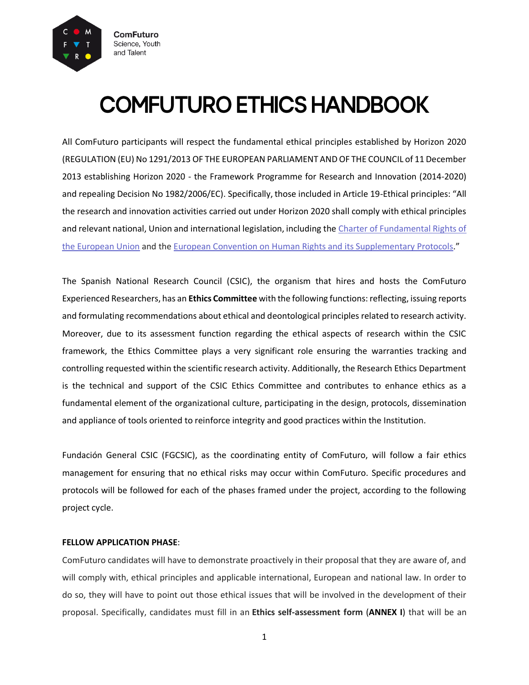

# **COMFUTURO ETHICS HANDBOOK**

All ComFuturo participants will respect the fundamental ethical principles established by Horizon 2020 (REGULATION (EU) No 1291/2013 OF THE EUROPEAN PARLIAMENT AND OF THE COUNCIL of 11 December 2013 establishing Horizon 2020 - the Framework Programme for Research and Innovation (2014-2020) and repealing Decision No 1982/2006/EC). Specifically, those included in Article 19-Ethical principles: "All the research and innovation activities carried out under Horizon 2020 shall comply with ethical principles and relevant national, Union and international legislation, including the [Charter of Fundamental Rights of](https://ec.europa.eu/info/aid-development-cooperation-fundamental-rights/your-rights-eu/eu-charter-fundamental-rights_en)  [the European Union](https://ec.europa.eu/info/aid-development-cooperation-fundamental-rights/your-rights-eu/eu-charter-fundamental-rights_en) and the [European Convention on Human Rights and](http://www.echr.coe.int/Documents/Convention_ENG.pdf) its Supplementary Protocols."

The Spanish National Research Council (CSIC), the organism that hires and hosts the ComFuturo Experienced Researchers, has an **Ethics Committee** with the following functions: reflecting, issuing reports and formulating recommendations about ethical and deontological principles related to research activity. Moreover, due to its assessment function regarding the ethical aspects of research within the CSIC framework, the Ethics Committee plays a very significant role ensuring the warranties tracking and controlling requested within the scientific research activity. Additionally, the Research Ethics Department is the technical and support of the CSIC Ethics Committee and contributes to enhance ethics as a fundamental element of the organizational culture, participating in the design, protocols, dissemination and appliance of tools oriented to reinforce integrity and good practices within the Institution.

Fundación General CSIC (FGCSIC), as the coordinating entity of ComFuturo, will follow a fair ethics management for ensuring that no ethical risks may occur within ComFuturo. Specific procedures and protocols will be followed for each of the phases framed under the project, according to the following project cycle.

### **FELLOW APPLICATION PHASE**:

ComFuturo candidates will have to demonstrate proactively in their proposal that they are aware of, and will comply with, ethical principles and applicable international, European and national law. In order to do so, they will have to point out those ethical issues that will be involved in the development of their proposal. Specifically, candidates must fill in an **Ethics self-assessment form** (**ANNEX I**) that will be an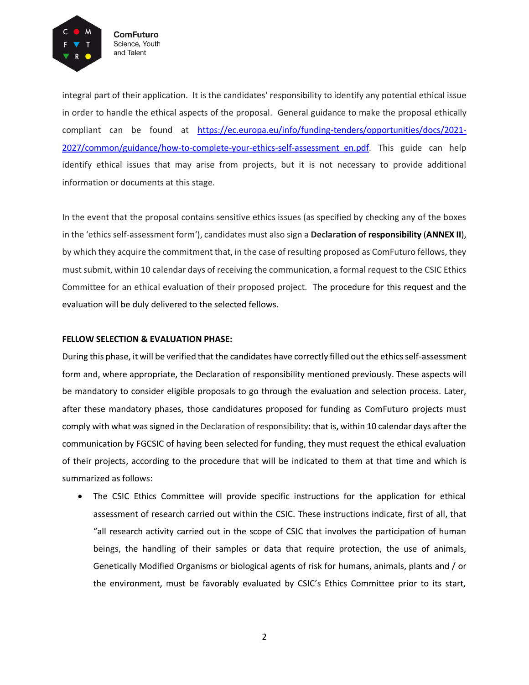

integral part of their application. It is the candidates' responsibility to identify any potential ethical issue in order to handle the ethical aspects of the proposal. General guidance to make the proposal ethically compliant can be found at [https://ec.europa.eu/info/funding-tenders/opportunities/docs/2021-](https://ec.europa.eu/info/funding-tenders/opportunities/docs/2021-2027/common/guidance/how-to-complete-your-ethics-self-assessment_en.pdf) 2027/common/guidance/how-to-complete-your-ethics-self-assessment en.pdf. This guide can help identify ethical issues that may arise from projects, but it is not necessary to provide additional information or documents at this stage.

In the event that the proposal contains sensitive ethics issues (as specified by checking any of the boxes in the 'ethics self-assessment form'), candidates must also sign a **Declaration of responsibility** (**ANNEX II**), by which they acquire the commitment that, in the case of resulting proposed as ComFuturo fellows, they must submit, within 10 calendar days of receiving the communication, a formal request to the CSIC Ethics Committee for an ethical evaluation of their proposed project. The procedure for this request and the evaluation will be duly delivered to the selected fellows.

#### **FELLOW SELECTION & EVALUATION PHASE:**

During this phase, it will be verified that the candidates have correctly filled out the ethics self-assessment form and, where appropriate, the Declaration of responsibility mentioned previously. These aspects will be mandatory to consider eligible proposals to go through the evaluation and selection process. Later, after these mandatory phases, those candidatures proposed for funding as ComFuturo projects must comply with what was signed in the Declaration of responsibility: that is, within 10 calendar days after the communication by FGCSIC of having been selected for funding, they must request the ethical evaluation of their projects, according to the procedure that will be indicated to them at that time and which is summarized as follows:

 The CSIC Ethics Committee will provide specific instructions for the application for ethical assessment of research carried out within the CSIC. These instructions indicate, first of all, that "all research activity carried out in the scope of CSIC that involves the participation of human beings, the handling of their samples or data that require protection, the use of animals, Genetically Modified Organisms or biological agents of risk for humans, animals, plants and / or the environment, must be favorably evaluated by CSIC's Ethics Committee prior to its start,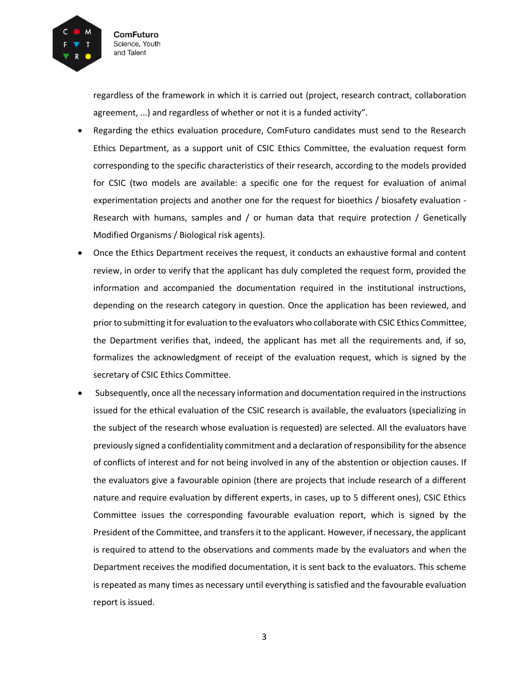

regardless of the framework in which it is carried out (project, research contract, collaboration agreement, ...) and regardless of whether or not it is a funded activity".

- Regarding the ethics evaluation procedure, ComFuturo candidates must send to the Research Ethics Department, as a support unit of CSIC Ethics Committee, the evaluation request form corresponding to the specific characteristics of their research, according to the models provided for CSIC (two models are available: a specific one for the request for evaluation of animal experimentation projects and another one for the request for bioethics / biosafety evaluation - Research with humans, samples and / or human data that require protection / Genetically Modified Organisms / Biological risk agents).
- Once the Ethics Department receives the request, it conducts an exhaustive formal and content review, in order to verify that the applicant has duly completed the request form, provided the information and accompanied the documentation required in the institutional instructions, depending on the research category in question. Once the application has been reviewed, and prior to submitting it for evaluation to the evaluators who collaborate with CSIC Ethics Committee, the Department verifies that, indeed, the applicant has met all the requirements and, if so, formalizes the acknowledgment of receipt of the evaluation request, which is signed by the secretary of CSIC Ethics Committee.
- Subsequently, once all the necessary information and documentation required in the instructions issued for the ethical evaluation of the CSIC research is available, the evaluators (specializing in the subject of the research whose evaluation is requested) are selected. All the evaluators have previously signed a confidentiality commitment and a declaration of responsibility for the absence of conflicts of interest and for not being involved in any of the abstention or objection causes. If the evaluators give a favourable opinion (there are projects that include research of a different nature and require evaluation by different experts, in cases, up to 5 different ones), CSIC Ethics Committee issues the corresponding favourable evaluation report, which is signed by the President of the Committee, and transfers it to the applicant. However, if necessary, the applicant is required to attend to the observations and comments made by the evaluators and when the Department receives the modified documentation, it is sent back to the evaluators. This scheme is repeated as many times as necessary until everything is satisfied and the favourable evaluation report is issued.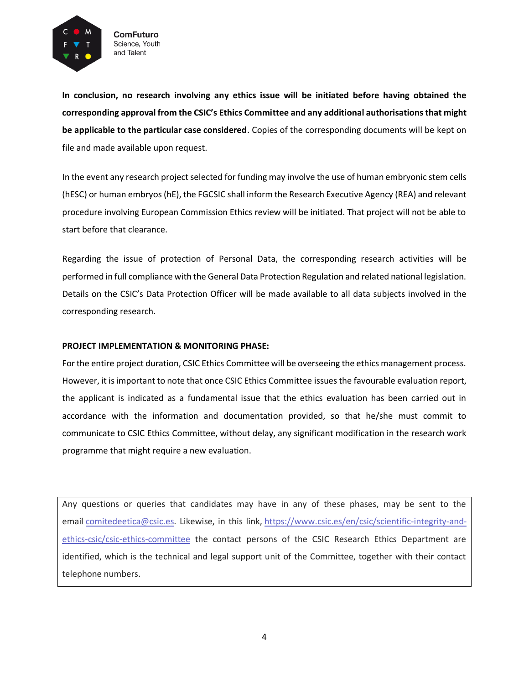

**In conclusion, no research involving any ethics issue will be initiated before having obtained the corresponding approval from the CSIC's Ethics Committee and any additional authorisations that might be applicable to the particular case considered**. Copies of the corresponding documents will be kept on file and made available upon request.

In the event any research project selected for funding may involve the use of human embryonic stem cells (hESC) or human embryos (hE), the FGCSIC shall inform the Research Executive Agency (REA) and relevant procedure involving European Commission Ethics review will be initiated. That project will not be able to start before that clearance.

Regarding the issue of protection of Personal Data, the corresponding research activities will be performed in full compliance with the General Data Protection Regulation and related national legislation. Details on the CSIC's Data Protection Officer will be made available to all data subjects involved in the corresponding research.

### **PROJECT IMPLEMENTATION & MONITORING PHASE:**

For the entire project duration, CSIC Ethics Committee will be overseeing the ethics management process. However, it is important to note that once CSIC Ethics Committee issues the favourable evaluation report, the applicant is indicated as a fundamental issue that the ethics evaluation has been carried out in accordance with the information and documentation provided, so that he/she must commit to communicate to CSIC Ethics Committee, without delay, any significant modification in the research work programme that might require a new evaluation.

Any questions or queries that candidates may have in any of these phases, may be sent to the email [comitedeetica@csic.es.](mailto:comitedeetica@csic.es) Likewise, in this link, [https://www.csic.es/en/csic/scientific-integrity-and](https://www.csic.es/en/csic/scientific-integrity-and-ethics-csic/csic-ethics-committee)[ethics-csic/csic-ethics-committee](https://www.csic.es/en/csic/scientific-integrity-and-ethics-csic/csic-ethics-committee) the contact persons of the CSIC Research Ethics Department are identified, which is the technical and legal support unit of the Committee, together with their contact telephone numbers.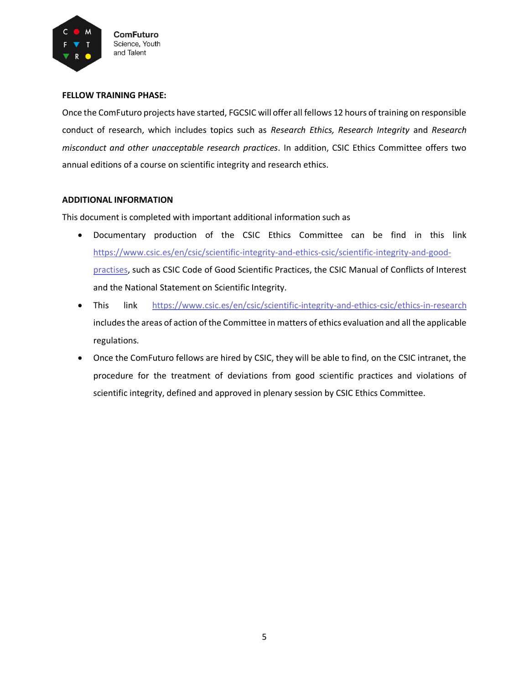

#### **FELLOW TRAINING PHASE:**

Once the ComFuturo projects have started, FGCSIC will offer all fellows 12 hours of training on responsible conduct of research, which includes topics such as *Research Ethics, Research Integrity* and *Research misconduct and other unacceptable research practices*. In addition, CSIC Ethics Committee offers two annual editions of a course on scientific integrity and research ethics.

### **ADDITIONAL INFORMATION**

This document is completed with important additional information such as

- Documentary production of the CSIC Ethics Committee can be find in this link https://www.csic.es/en/csic/scientific-integrity-and-ethics-csic/scientific-integrity-and-goodpractises, such as CSIC Code of Good Scientific Practices, the CSIC Manual of Conflicts of Interest and the National Statement on Scientific Integrity.
- This link <https://www.csic.es/en/csic/scientific-integrity-and-ethics-csic/ethics-in-research> includes the areas of action of the Committee in matters of ethics evaluation and all the applicable regulations.
- Once the ComFuturo fellows are hired by CSIC, they will be able to find, on the CSIC intranet, the procedure for the treatment of deviations from good scientific practices and violations of scientific integrity, defined and approved in plenary session by CSIC Ethics Committee.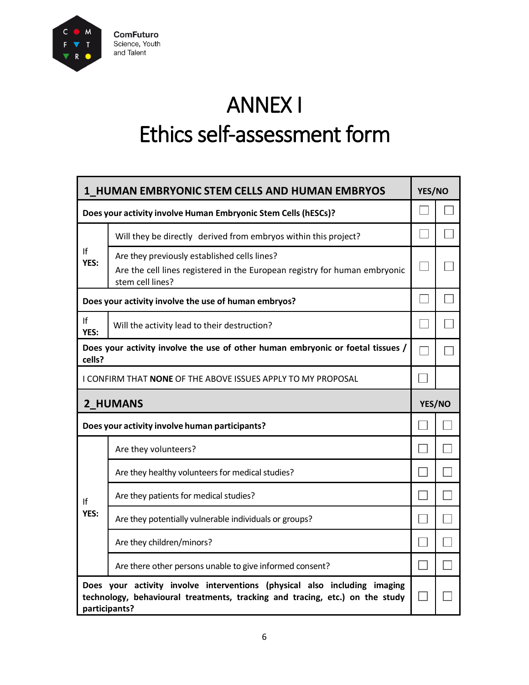

ANNEX I Ethics self-assessment form

| 1 HUMAN EMBRYONIC STEM CELLS AND HUMAN EMBRYOS                                                                                                                             |                                                                                                                                                |        | YES/NO |  |
|----------------------------------------------------------------------------------------------------------------------------------------------------------------------------|------------------------------------------------------------------------------------------------------------------------------------------------|--------|--------|--|
| Does your activity involve Human Embryonic Stem Cells (hESCs)?                                                                                                             |                                                                                                                                                |        |        |  |
| If<br>YES:                                                                                                                                                                 | Will they be directly derived from embryos within this project?                                                                                |        |        |  |
|                                                                                                                                                                            | Are they previously established cells lines?<br>Are the cell lines registered in the European registry for human embryonic<br>stem cell lines? |        |        |  |
| Does your activity involve the use of human embryos?                                                                                                                       |                                                                                                                                                |        |        |  |
| If<br>YES:                                                                                                                                                                 | Will the activity lead to their destruction?                                                                                                   |        |        |  |
| Does your activity involve the use of other human embryonic or foetal tissues /<br>cells?                                                                                  |                                                                                                                                                |        |        |  |
| I CONFIRM THAT NONE OF THE ABOVE ISSUES APPLY TO MY PROPOSAL                                                                                                               |                                                                                                                                                |        |        |  |
| 2 HUMANS                                                                                                                                                                   |                                                                                                                                                | YES/NO |        |  |
| Does your activity involve human participants?                                                                                                                             |                                                                                                                                                |        |        |  |
|                                                                                                                                                                            | Are they volunteers?                                                                                                                           |        |        |  |
|                                                                                                                                                                            | Are they healthy volunteers for medical studies?                                                                                               |        |        |  |
| ١f                                                                                                                                                                         | Are they patients for medical studies?                                                                                                         |        |        |  |
| YES:                                                                                                                                                                       | Are they potentially vulnerable individuals or groups?                                                                                         |        |        |  |
|                                                                                                                                                                            | Are they children/minors?                                                                                                                      |        |        |  |
|                                                                                                                                                                            | Are there other persons unable to give informed consent?                                                                                       |        |        |  |
| Does your activity involve interventions (physical also including imaging<br>technology, behavioural treatments, tracking and tracing, etc.) on the study<br>participants? |                                                                                                                                                |        |        |  |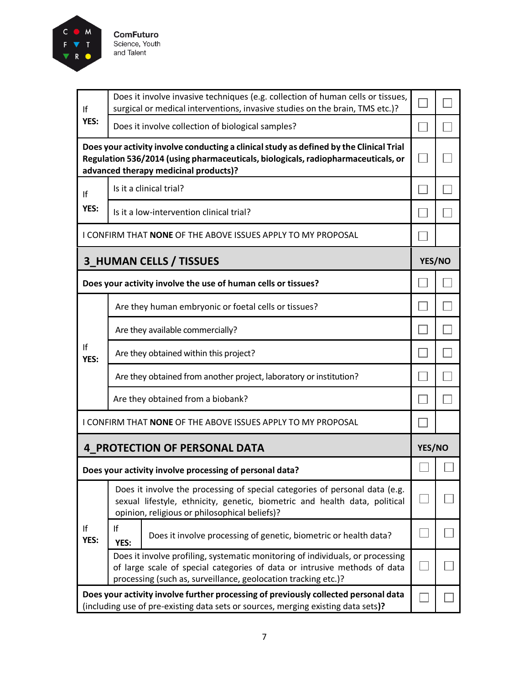

| If<br>YES: | Does it involve invasive techniques (e.g. collection of human cells or tissues,<br>surgical or medical interventions, invasive studies on the brain, TMS etc.)?                                                               |               |  |
|------------|-------------------------------------------------------------------------------------------------------------------------------------------------------------------------------------------------------------------------------|---------------|--|
|            | Does it involve collection of biological samples?                                                                                                                                                                             | $\mathcal{A}$ |  |
|            | Does your activity involve conducting a clinical study as defined by the Clinical Trial<br>Regulation 536/2014 (using pharmaceuticals, biologicals, radiopharmaceuticals, or<br>advanced therapy medicinal products)?         |               |  |
| If         | Is it a clinical trial?                                                                                                                                                                                                       |               |  |
| YES:       | Is it a low-intervention clinical trial?                                                                                                                                                                                      |               |  |
|            | I CONFIRM THAT <b>NONE</b> OF THE ABOVE ISSUES APPLY TO MY PROPOSAL                                                                                                                                                           |               |  |
|            | <b>3_HUMAN CELLS / TISSUES</b>                                                                                                                                                                                                | YES/NO        |  |
|            | Does your activity involve the use of human cells or tissues?                                                                                                                                                                 |               |  |
|            | Are they human embryonic or foetal cells or tissues?                                                                                                                                                                          |               |  |
|            | Are they available commercially?                                                                                                                                                                                              |               |  |
| If<br>YES: | Are they obtained within this project?                                                                                                                                                                                        |               |  |
|            | Are they obtained from another project, laboratory or institution?                                                                                                                                                            |               |  |
|            | Are they obtained from a biobank?                                                                                                                                                                                             |               |  |
|            | I CONFIRM THAT <b>NONE</b> OF THE ABOVE ISSUES APPLY TO MY PROPOSAL                                                                                                                                                           |               |  |
|            | <b>4 PROTECTION OF PERSONAL DATA</b>                                                                                                                                                                                          | YES/NO        |  |
|            | Does your activity involve processing of personal data?                                                                                                                                                                       |               |  |
|            | Does it involve the processing of special categories of personal data (e.g.<br>sexual lifestyle, ethnicity, genetic, biometric and health data, political<br>opinion, religious or philosophical beliefs)?                    |               |  |
| If<br>YES: | If<br>Does it involve processing of genetic, biometric or health data?<br>YES:                                                                                                                                                |               |  |
|            | Does it involve profiling, systematic monitoring of individuals, or processing<br>of large scale of special categories of data or intrusive methods of data<br>processing (such as, surveillance, geolocation tracking etc.)? |               |  |
|            | Does your activity involve further processing of previously collected personal data                                                                                                                                           |               |  |

 $\mathbf I$ 

(including use of pre-existing data sets or sources, merging existing data sets**)?**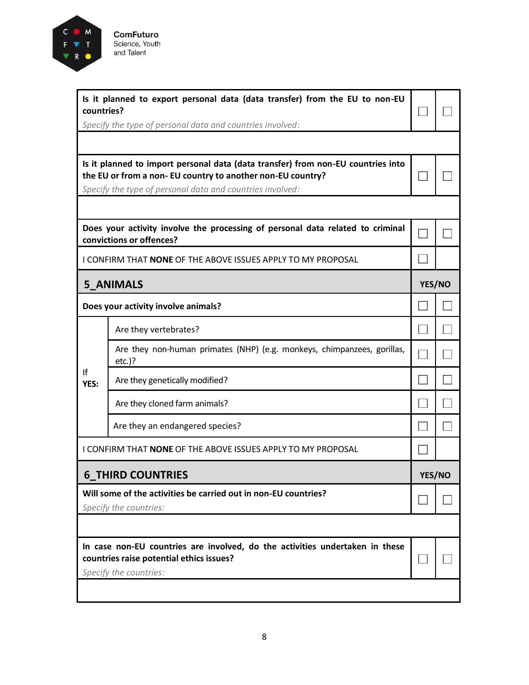

| Is it planned to export personal data (data transfer) from the EU to non-EU<br>countries?<br>Specify the type of personal data and countries involved: |                                                                                                                                                                                                              |  |               |  |
|--------------------------------------------------------------------------------------------------------------------------------------------------------|--------------------------------------------------------------------------------------------------------------------------------------------------------------------------------------------------------------|--|---------------|--|
|                                                                                                                                                        |                                                                                                                                                                                                              |  |               |  |
|                                                                                                                                                        | Is it planned to import personal data (data transfer) from non-EU countries into<br>the EU or from a non- EU country to another non-EU country?<br>Specify the type of personal data and countries involved: |  |               |  |
|                                                                                                                                                        |                                                                                                                                                                                                              |  |               |  |
|                                                                                                                                                        | Does your activity involve the processing of personal data related to criminal<br>convictions or offences?                                                                                                   |  |               |  |
|                                                                                                                                                        | I CONFIRM THAT NONE OF THE ABOVE ISSUES APPLY TO MY PROPOSAL                                                                                                                                                 |  |               |  |
|                                                                                                                                                        | <b>5 ANIMALS</b>                                                                                                                                                                                             |  | YES/NO        |  |
|                                                                                                                                                        | Does your activity involve animals?                                                                                                                                                                          |  |               |  |
|                                                                                                                                                        | Are they vertebrates?                                                                                                                                                                                        |  |               |  |
|                                                                                                                                                        | Are they non-human primates (NHP) (e.g. monkeys, chimpanzees, gorillas,<br>$etc.$ )?                                                                                                                         |  |               |  |
| If<br>YES:                                                                                                                                             | Are they genetically modified?                                                                                                                                                                               |  |               |  |
|                                                                                                                                                        | Are they cloned farm animals?                                                                                                                                                                                |  |               |  |
|                                                                                                                                                        | Are they an endangered species?                                                                                                                                                                              |  |               |  |
|                                                                                                                                                        | I CONFIRM THAT NONE OF THE ABOVE ISSUES APPLY TO MY PROPOSAL                                                                                                                                                 |  |               |  |
|                                                                                                                                                        | <b>6_THIRD COUNTRIES</b>                                                                                                                                                                                     |  | <b>YES/NO</b> |  |
|                                                                                                                                                        | Will some of the activities be carried out in non-EU countries?<br>Specify the countries:                                                                                                                    |  |               |  |
|                                                                                                                                                        |                                                                                                                                                                                                              |  |               |  |
|                                                                                                                                                        | In case non-EU countries are involved, do the activities undertaken in these<br>countries raise potential ethics issues?<br>Specify the countries:                                                           |  |               |  |
|                                                                                                                                                        |                                                                                                                                                                                                              |  |               |  |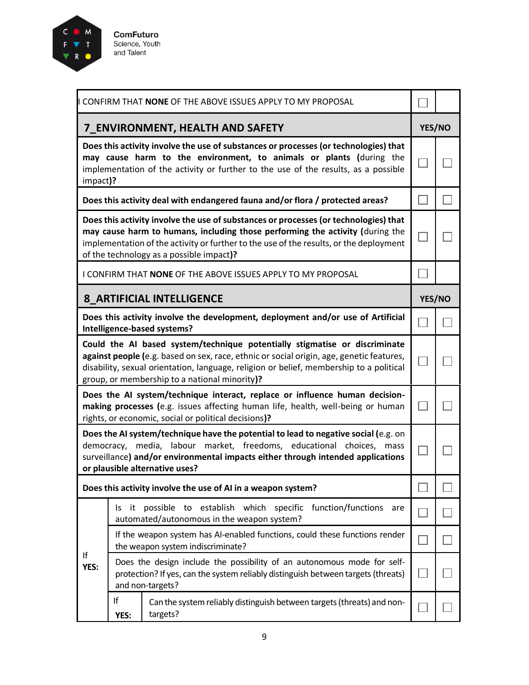

**ComFuturo** Science, Youth<br>and Talent

|            |            | CONFIRM THAT NONE OF THE ABOVE ISSUES APPLY TO MY PROPOSAL                                                                                                                                                                                                                                                         |        |
|------------|------------|--------------------------------------------------------------------------------------------------------------------------------------------------------------------------------------------------------------------------------------------------------------------------------------------------------------------|--------|
|            |            | <b>7_ENVIRONMENT, HEALTH AND SAFETY</b>                                                                                                                                                                                                                                                                            | YES/NO |
| impact)?   |            | Does this activity involve the use of substances or processes (or technologies) that<br>may cause harm to the environment, to animals or plants (during the<br>implementation of the activity or further to the use of the results, as a possible                                                                  |        |
|            |            | Does this activity deal with endangered fauna and/or flora / protected areas?                                                                                                                                                                                                                                      |        |
|            |            | Does this activity involve the use of substances or processes (or technologies) that<br>may cause harm to humans, including those performing the activity (during the<br>implementation of the activity or further to the use of the results, or the deployment<br>of the technology as a possible impact)?        |        |
|            |            | I CONFIRM THAT NONE OF THE ABOVE ISSUES APPLY TO MY PROPOSAL                                                                                                                                                                                                                                                       |        |
|            |            | 8 ARTIFICIAL INTELLIGENCE                                                                                                                                                                                                                                                                                          | YES/NO |
|            |            | Does this activity involve the development, deployment and/or use of Artificial<br>Intelligence-based systems?                                                                                                                                                                                                     |        |
|            |            | Could the AI based system/technique potentially stigmatise or discriminate<br>against people (e.g. based on sex, race, ethnic or social origin, age, genetic features,<br>disability, sexual orientation, language, religion or belief, membership to a political<br>group, or membership to a national minority)? |        |
|            |            | Does the AI system/technique interact, replace or influence human decision-<br>making processes (e.g. issues affecting human life, health, well-being or human<br>rights, or economic, social or political decisions)?                                                                                             |        |
|            |            | Does the AI system/technique have the potential to lead to negative social (e.g. on<br>democracy, media, labour market, freedoms, educational choices, mass<br>surveillance) and/or environmental impacts either through intended applications<br>or plausible alternative uses?                                   |        |
|            |            | Does this activity involve the use of AI in a weapon system?                                                                                                                                                                                                                                                       |        |
|            | ls.        | it possible to establish which specific function/functions<br>are<br>automated/autonomous in the weapon system?                                                                                                                                                                                                    |        |
| If<br>YES: |            | If the weapon system has AI-enabled functions, could these functions render<br>the weapon system indiscriminate?                                                                                                                                                                                                   |        |
|            |            | Does the design include the possibility of an autonomous mode for self-<br>protection? If yes, can the system reliably distinguish between targets (threats)<br>and non-targets?                                                                                                                                   |        |
|            | If<br>YES: | Can the system reliably distinguish between targets (threats) and non-<br>targets?                                                                                                                                                                                                                                 |        |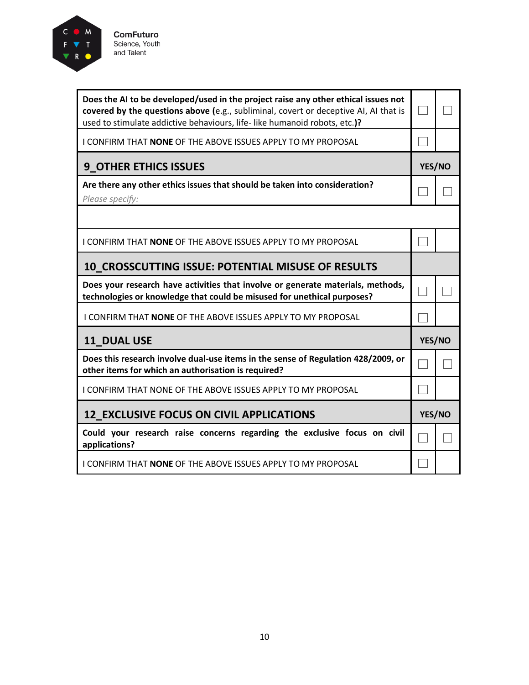

| Does the AI to be developed/used in the project raise any other ethical issues not<br>covered by the questions above (e.g., subliminal, covert or deceptive AI, AI that is<br>used to stimulate addictive behaviours, life-like humanoid robots, etc.)? |        |  |
|---------------------------------------------------------------------------------------------------------------------------------------------------------------------------------------------------------------------------------------------------------|--------|--|
| I CONFIRM THAT NONE OF THE ABOVE ISSUES APPLY TO MY PROPOSAL                                                                                                                                                                                            |        |  |
| <b>9_OTHER ETHICS ISSUES</b>                                                                                                                                                                                                                            | YES/NO |  |
| Are there any other ethics issues that should be taken into consideration?<br>Please specify:                                                                                                                                                           |        |  |
|                                                                                                                                                                                                                                                         |        |  |
| I CONFIRM THAT NONE OF THE ABOVE ISSUES APPLY TO MY PROPOSAL                                                                                                                                                                                            |        |  |
| 10_CROSSCUTTING ISSUE: POTENTIAL MISUSE OF RESULTS                                                                                                                                                                                                      |        |  |
| Does your research have activities that involve or generate materials, methods,<br>technologies or knowledge that could be misused for unethical purposes?                                                                                              |        |  |
| I CONFIRM THAT NONE OF THE ABOVE ISSUES APPLY TO MY PROPOSAL                                                                                                                                                                                            |        |  |
| 11_DUAL USE                                                                                                                                                                                                                                             | YES/NO |  |
| Does this research involve dual-use items in the sense of Regulation 428/2009, or<br>other items for which an authorisation is required?                                                                                                                |        |  |
|                                                                                                                                                                                                                                                         |        |  |

 $\Box$ 

 $\overline{\phantom{a}}$ 

 $\Box$ 

 $\overline{\phantom{a}}$ 

 $\Box$ 

| <b>12 EXCLUSIVE FOCUS ON CIVIL APPLICATIONS</b>                                                                 |  |  |
|-----------------------------------------------------------------------------------------------------------------|--|--|
| Could your research raise concerns regarding the exclusive focus on civil $\vert \frown \vert$<br>applications? |  |  |
| I CONFIRM THAT NONE OF THE ABOVE ISSUES APPLY TO MY PROPOSAL                                                    |  |  |